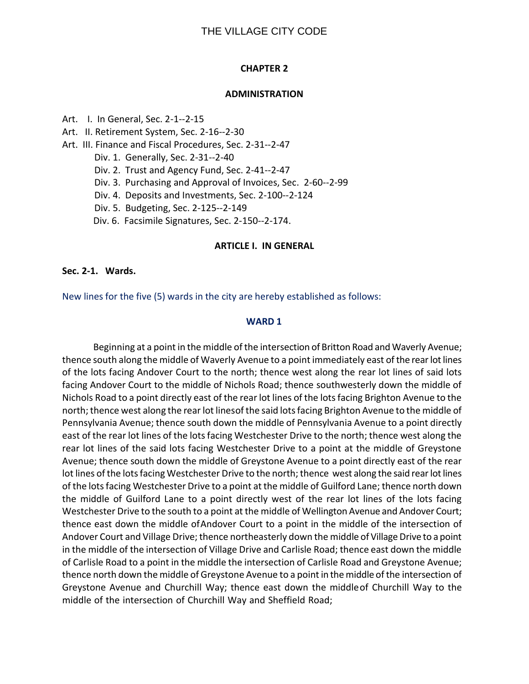#### **CHAPTER 2**

#### **ADMINISTRATION**

- Art. I. In General, Sec. 2-1--2-15
- Art. II. Retirement System, Sec. 2-16--2-30
- Art. III. Finance and Fiscal Procedures, Sec. 2-31--2-47
	- Div. 1. Generally, Sec. 2-31--2-40
	- Div. 2. Trust and Agency Fund, Sec. 2-41--2-47
	- Div. 3. Purchasing and Approval of Invoices, Sec. 2-60--2-99
	- Div. 4. Deposits and Investments, Sec. 2-100--2-124
	- Div. 5. Budgeting, Sec. 2-125--2-149
	- Div. 6. Facsimile Signatures, Sec. 2-150--2-174.

#### **ARTICLE I. IN GENERAL**

#### **Sec. 2-1. Wards.**

New lines for the five (5) wards in the city are hereby established as follows:

#### **WARD 1**

Beginning at a point in the middle of the intersection of Britton Road and Waverly Avenue; thence south along the middle of Waverly Avenue to a point immediately east of the rear lot lines of the lots facing Andover Court to the north; thence west along the rear lot lines of said lots facing Andover Court to the middle of Nichols Road; thence southwesterly down the middle of Nichols Road to a point directly east of the rear lot lines of the lots facing Brighton Avenue to the north; thence west along the rear lot linesof the said lots facing Brighton Avenue to the middle of Pennsylvania Avenue; thence south down the middle of Pennsylvania Avenue to a point directly east of the rear lot lines of the lots facing Westchester Drive to the north; thence west along the rear lot lines of the said lots facing Westchester Drive to a point at the middle of Greystone Avenue; thence south down the middle of Greystone Avenue to a point directly east of the rear lot lines of the lots facing Westchester Drive to the north; thence west along the said rear lot lines of the lots facing Westchester Drive to a point at the middle of Guilford Lane; thence north down the middle of Guilford Lane to a point directly west of the rear lot lines of the lots facing Westchester Drive to the south to a point at the middle of Wellington Avenue and Andover Court; thence east down the middle ofAndover Court to a point in the middle of the intersection of Andover Court and Village Drive; thence northeasterly down the middle of Village Drive to a point in the middle of the intersection of Village Drive and Carlisle Road; thence east down the middle of Carlisle Road to a point in the middle the intersection of Carlisle Road and Greystone Avenue; thence north down the middle of Greystone Avenue to a point in the middle of the intersection of Greystone Avenue and Churchill Way; thence east down the middleof Churchill Way to the middle of the intersection of Churchill Way and Sheffield Road;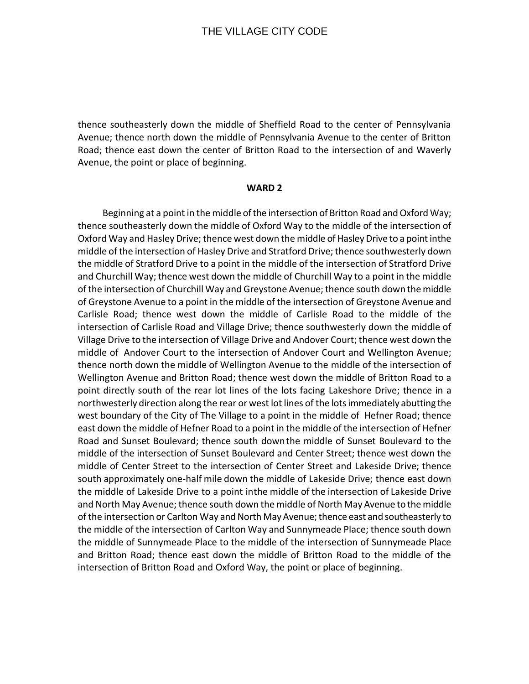thence southeasterly down the middle of Sheffield Road to the center of Pennsylvania Avenue; thence north down the middle of Pennsylvania Avenue to the center of Britton Road; thence east down the center of Britton Road to the intersection of and Waverly Avenue, the point or place of beginning.

#### **WARD 2**

Beginning at a point in the middle of the intersection of Britton Road and Oxford Way; thence southeasterly down the middle of Oxford Way to the middle of the intersection of Oxford Way and Hasley Drive; thence west down the middle of Hasley Drive to a point inthe middle of the intersection of Hasley Drive and Stratford Drive; thence southwesterly down the middle of Stratford Drive to a point in the middle of the intersection of Stratford Drive and Churchill Way; thence west down the middle of Churchill Way to a point in the middle of the intersection of Churchill Way and Greystone Avenue; thence south down the middle of Greystone Avenue to a point in the middle of the intersection of Greystone Avenue and Carlisle Road; thence west down the middle of Carlisle Road to the middle of the intersection of Carlisle Road and Village Drive; thence southwesterly down the middle of Village Drive to the intersection of Village Drive and Andover Court; thence west down the middle of Andover Court to the intersection of Andover Court and Wellington Avenue; thence north down the middle of Wellington Avenue to the middle of the intersection of Wellington Avenue and Britton Road; thence west down the middle of Britton Road to a point directly south of the rear lot lines of the lots facing Lakeshore Drive; thence in a northwesterly direction along the rear or west lot lines of the lots immediately abutting the west boundary of the City of The Village to a point in the middle of Hefner Road; thence east down the middle of Hefner Road to a point in the middle of the intersection of Hefner Road and Sunset Boulevard; thence south downthe middle of Sunset Boulevard to the middle of the intersection of Sunset Boulevard and Center Street; thence west down the middle of Center Street to the intersection of Center Street and Lakeside Drive; thence south approximately one-half mile down the middle of Lakeside Drive; thence east down the middle of Lakeside Drive to a point inthe middle of the intersection of Lakeside Drive and North May Avenue; thence south down the middle of North May Avenue to the middle of the intersection or Carlton Way and North May Avenue; thence east and southeasterly to the middle of the intersection of Carlton Way and Sunnymeade Place; thence south down the middle of Sunnymeade Place to the middle of the intersection of Sunnymeade Place and Britton Road; thence east down the middle of Britton Road to the middle of the intersection of Britton Road and Oxford Way, the point or place of beginning.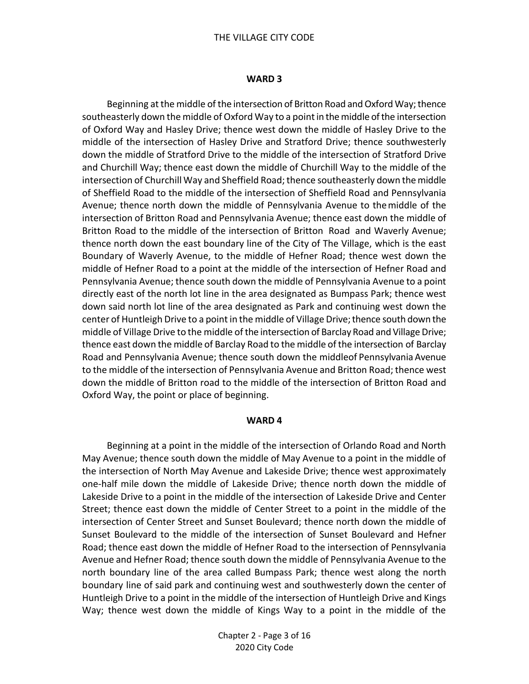#### THE VILLAGE CITY CODE

#### **WARD 3**

Beginning at the middle of the intersection of Britton Road and Oxford Way; thence southeasterly down the middle of Oxford Way to a point in the middle of the intersection of Oxford Way and Hasley Drive; thence west down the middle of Hasley Drive to the middle of the intersection of Hasley Drive and Stratford Drive; thence southwesterly down the middle of Stratford Drive to the middle of the intersection of Stratford Drive and Churchill Way; thence east down the middle of Churchill Way to the middle of the intersection of Churchill Way and Sheffield Road; thence southeasterly down the middle of Sheffield Road to the middle of the intersection of Sheffield Road and Pennsylvania Avenue; thence north down the middle of Pennsylvania Avenue to themiddle of the intersection of Britton Road and Pennsylvania Avenue; thence east down the middle of Britton Road to the middle of the intersection of Britton Road and Waverly Avenue; thence north down the east boundary line of the City of The Village, which is the east Boundary of Waverly Avenue, to the middle of Hefner Road; thence west down the middle of Hefner Road to a point at the middle of the intersection of Hefner Road and Pennsylvania Avenue; thence south down the middle of Pennsylvania Avenue to a point directly east of the north lot line in the area designated as Bumpass Park; thence west down said north lot line of the area designated as Park and continuing west down the center of Huntleigh Drive to a point in the middle of Village Drive; thence south down the middle of Village Drive to the middle of the intersection of Barclay Road and Village Drive; thence east down the middle of Barclay Road to the middle of the intersection of Barclay Road and Pennsylvania Avenue; thence south down the middleof Pennsylvania Avenue to the middle of the intersection of Pennsylvania Avenue and Britton Road; thence west down the middle of Britton road to the middle of the intersection of Britton Road and Oxford Way, the point or place of beginning.

#### **WARD 4**

Beginning at a point in the middle of the intersection of Orlando Road and North May Avenue; thence south down the middle of May Avenue to a point in the middle of the intersection of North May Avenue and Lakeside Drive; thence west approximately one-half mile down the middle of Lakeside Drive; thence north down the middle of Lakeside Drive to a point in the middle of the intersection of Lakeside Drive and Center Street; thence east down the middle of Center Street to a point in the middle of the intersection of Center Street and Sunset Boulevard; thence north down the middle of Sunset Boulevard to the middle of the intersection of Sunset Boulevard and Hefner Road; thence east down the middle of Hefner Road to the intersection of Pennsylvania Avenue and Hefner Road; thence south down the middle of Pennsylvania Avenue to the north boundary line of the area called Bumpass Park; thence west along the north boundary line of said park and continuing west and southwesterly down the center of Huntleigh Drive to a point in the middle of the intersection of Huntleigh Drive and Kings Way; thence west down the middle of Kings Way to a point in the middle of the

> Chapter 2 - Page 3 of 16 2020 City Code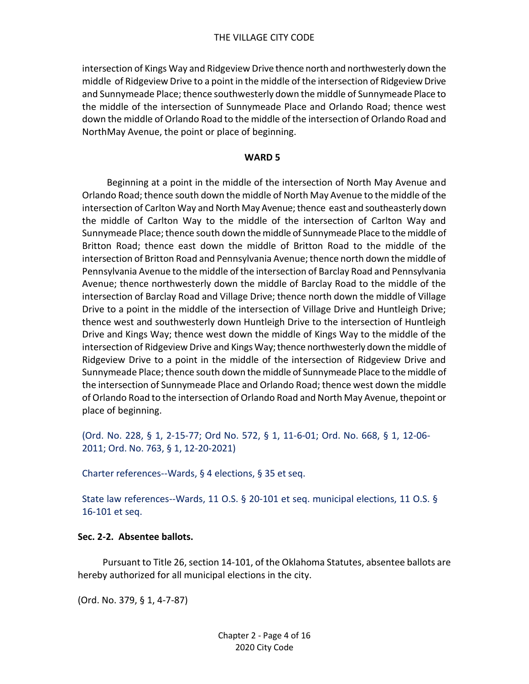intersection of Kings Way and Ridgeview Drive thence north and northwesterly down the middle of Ridgeview Drive to a point in the middle of the intersection of Ridgeview Drive and Sunnymeade Place; thence southwesterly down the middle of Sunnymeade Place to the middle of the intersection of Sunnymeade Place and Orlando Road; thence west down the middle of Orlando Road to the middle of the intersection of Orlando Road and NorthMay Avenue, the point or place of beginning.

#### **WARD 5**

Beginning at a point in the middle of the intersection of North May Avenue and Orlando Road; thence south down the middle of North May Avenue to the middle of the intersection of Carlton Way and North May Avenue; thence east and southeasterly down the middle of Carlton Way to the middle of the intersection of Carlton Way and Sunnymeade Place; thence south down the middle of Sunnymeade Place to the middle of Britton Road; thence east down the middle of Britton Road to the middle of the intersection of Britton Road and Pennsylvania Avenue; thence north down the middle of Pennsylvania Avenue to the middle of the intersection of Barclay Road and Pennsylvania Avenue; thence northwesterly down the middle of Barclay Road to the middle of the intersection of Barclay Road and Village Drive; thence north down the middle of Village Drive to a point in the middle of the intersection of Village Drive and Huntleigh Drive; thence west and southwesterly down Huntleigh Drive to the intersection of Huntleigh Drive and Kings Way; thence west down the middle of Kings Way to the middle of the intersection of Ridgeview Drive and Kings Way; thence northwesterly down the middle of Ridgeview Drive to a point in the middle of the intersection of Ridgeview Drive and Sunnymeade Place; thence south down the middle of Sunnymeade Place to the middle of the intersection of Sunnymeade Place and Orlando Road; thence west down the middle of Orlando Road to the intersection of Orlando Road and North May Avenue, thepoint or place of beginning.

(Ord. No. 228, § 1, 2-15-77; Ord No. 572, § 1, 11-6-01; Ord. No. 668, § 1, 12-06- 2011; Ord. No. 763, § 1, 12-20-2021)

Charter references--Wards, § 4 elections, § 35 et seq.

State law references--Wards, 11 O.S. § 20-101 et seq. municipal elections, 11 O.S. § 16-101 et seq.

#### **Sec. 2-2. Absentee ballots.**

Pursuant to Title 26, section 14-101, of the Oklahoma Statutes, absentee ballots are hereby authorized for all municipal elections in the city.

(Ord. No. 379, § 1, 4-7-87)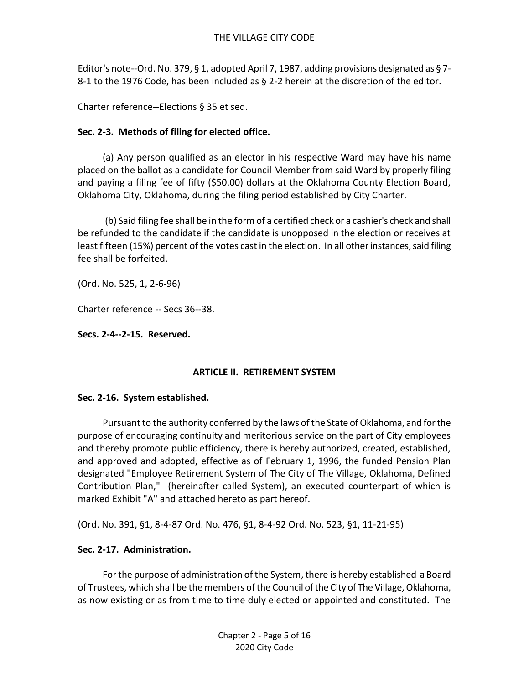Editor's note--Ord. No. 379, § 1, adopted April 7, 1987, adding provisions designated as § 7- 8-1 to the 1976 Code, has been included as § 2-2 herein at the discretion of the editor.

Charter reference--Elections § 35 et seq.

# **Sec. 2-3. Methods of filing for elected office.**

 (a) Any person qualified as an elector in his respective Ward may have his name placed on the ballot as a candidate for Council Member from said Ward by properly filing and paying a filing fee of fifty (\$50.00) dollars at the Oklahoma County Election Board, Oklahoma City, Oklahoma, during the filing period established by City Charter.

(b) Said filing fee shall be in the form of a certified check or a cashier's check and shall be refunded to the candidate if the candidate is unopposed in the election or receives at least fifteen (15%) percent of the votes cast in the election. In all other instances, said filing fee shall be forfeited.

(Ord. No. 525, 1, 2-6-96)

Charter reference -- Secs 36--38.

# **Secs. 2-4--2-15. Reserved.**

# **ARTICLE II. RETIREMENT SYSTEM**

# **Sec. 2-16. System established.**

Pursuant to the authority conferred by the laws of the State of Oklahoma, and for the purpose of encouraging continuity and meritorious service on the part of City employees and thereby promote public efficiency, there is hereby authorized, created, established, and approved and adopted, effective as of February 1, 1996, the funded Pension Plan designated "Employee Retirement System of The City of The Village, Oklahoma, Defined Contribution Plan," (hereinafter called System), an executed counterpart of which is marked Exhibit "A" and attached hereto as part hereof.

(Ord. No. 391, §1, 8-4-87 Ord. No. 476, §1, 8-4-92 Ord. No. 523, §1, 11-21-95)

# **Sec. 2-17. Administration.**

For the purpose of administration of the System, there is hereby established a Board of Trustees, which shall be the members of the Council of the City of The Village, Oklahoma, as now existing or as from time to time duly elected or appointed and constituted. The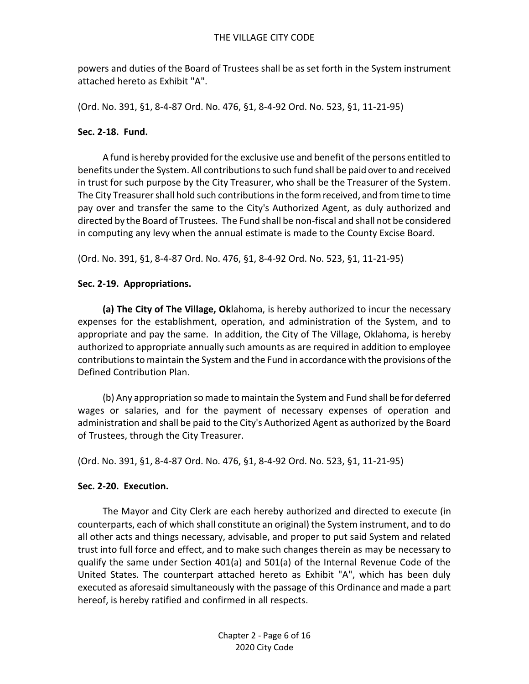powers and duties of the Board of Trustees shall be as set forth in the System instrument attached hereto as Exhibit "A".

(Ord. No. 391, §1, 8-4-87 Ord. No. 476, §1, 8-4-92 Ord. No. 523, §1, 11-21-95)

### **Sec. 2-18. Fund.**

A fund is hereby provided for the exclusive use and benefit of the persons entitled to benefits under the System. All contributions to such fund shall be paid over to and received in trust for such purpose by the City Treasurer, who shall be the Treasurer of the System. The City Treasurer shall hold such contributions in the form received, and from time to time pay over and transfer the same to the City's Authorized Agent, as duly authorized and directed by the Board of Trustees. The Fund shall be non-fiscal and shall not be considered in computing any levy when the annual estimate is made to the County Excise Board.

(Ord. No. 391, §1, 8-4-87 Ord. No. 476, §1, 8-4-92 Ord. No. 523, §1, 11-21-95)

# **Sec. 2-19. Appropriations.**

**(a) The City of The Village, Ok**lahoma, is hereby authorized to incur the necessary expenses for the establishment, operation, and administration of the System, and to appropriate and pay the same. In addition, the City of The Village, Oklahoma, is hereby authorized to appropriate annually such amounts as are required in addition to employee contributions to maintain the System and the Fund in accordance with the provisions of the Defined Contribution Plan.

(b) Any appropriation so made to maintain the System and Fund shall be for deferred wages or salaries, and for the payment of necessary expenses of operation and administration and shall be paid to the City's Authorized Agent as authorized by the Board of Trustees, through the City Treasurer.

(Ord. No. 391, §1, 8-4-87 Ord. No. 476, §1, 8-4-92 Ord. No. 523, §1, 11-21-95)

# **Sec. 2-20. Execution.**

The Mayor and City Clerk are each hereby authorized and directed to execute (in counterparts, each of which shall constitute an original) the System instrument, and to do all other acts and things necessary, advisable, and proper to put said System and related trust into full force and effect, and to make such changes therein as may be necessary to qualify the same under Section 401(a) and 501(a) of the Internal Revenue Code of the United States. The counterpart attached hereto as Exhibit "A", which has been duly executed as aforesaid simultaneously with the passage of this Ordinance and made a part hereof, is hereby ratified and confirmed in all respects.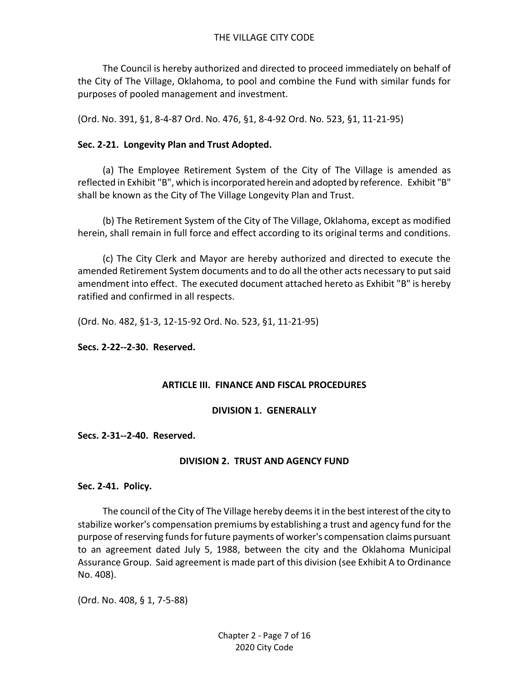The Council is hereby authorized and directed to proceed immediately on behalf of the City of The Village, Oklahoma, to pool and combine the Fund with similar funds for purposes of pooled management and investment.

(Ord. No. 391, §1, 8-4-87 Ord. No. 476, §1, 8-4-92 Ord. No. 523, §1, 11-21-95)

## **Sec. 2-21. Longevity Plan and Trust Adopted.**

(a) The Employee Retirement System of the City of The Village is amended as reflected in Exhibit "B", which is incorporated herein and adopted by reference. Exhibit "B" shall be known as the City of The Village Longevity Plan and Trust.

(b) The Retirement System of the City of The Village, Oklahoma, except as modified herein, shall remain in full force and effect according to its original terms and conditions.

(c) The City Clerk and Mayor are hereby authorized and directed to execute the amended Retirement System documents and to do all the other acts necessary to put said amendment into effect. The executed document attached hereto as Exhibit "B" is hereby ratified and confirmed in all respects.

(Ord. No. 482, §1-3, 12-15-92 Ord. No. 523, §1, 11-21-95)

## **Secs. 2-22--2-30. Reserved.**

#### **ARTICLE III. FINANCE AND FISCAL PROCEDURES**

#### **DIVISION 1. GENERALLY**

#### **Secs. 2-31--2-40. Reserved.**

#### **DIVISION 2. TRUST AND AGENCY FUND**

#### **Sec. 2-41. Policy.**

The council of the City of The Village hereby deems it in the best interest of the city to stabilize worker's compensation premiums by establishing a trust and agency fund for the purpose of reserving funds for future payments of worker's compensation claims pursuant to an agreement dated July 5, 1988, between the city and the Oklahoma Municipal Assurance Group. Said agreement is made part of this division (see Exhibit A to Ordinance No. 408).

(Ord. No. 408, § 1, 7-5-88)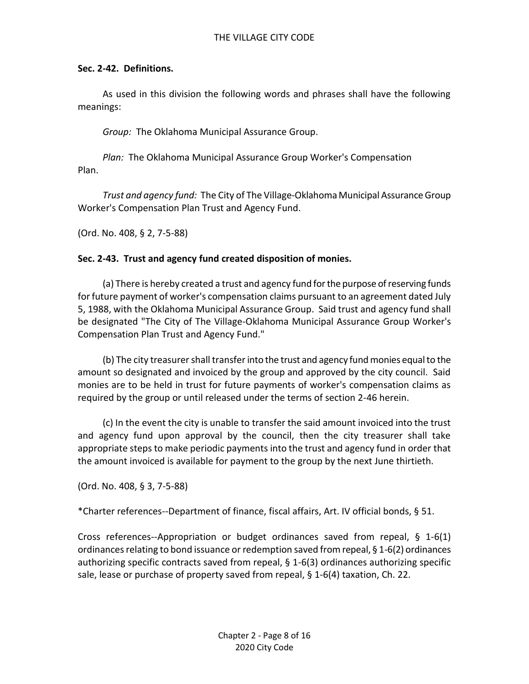### **Sec. 2-42. Definitions.**

As used in this division the following words and phrases shall have the following meanings:

*Group:* The Oklahoma Municipal Assurance Group.

*Plan:* The Oklahoma Municipal Assurance Group Worker's Compensation Plan.

*Trust and agency fund:* The City of The Village-Oklahoma Municipal Assurance Group Worker's Compensation Plan Trust and Agency Fund.

(Ord. No. 408, § 2, 7-5-88)

### **Sec. 2-43. Trust and agency fund created disposition of monies.**

(a) There is hereby created a trust and agency fund for the purpose of reserving funds for future payment of worker's compensation claims pursuant to an agreement dated July 5, 1988, with the Oklahoma Municipal Assurance Group. Said trust and agency fund shall be designated "The City of The Village-Oklahoma Municipal Assurance Group Worker's Compensation Plan Trust and Agency Fund."

(b) The city treasurer shall transfer into the trust and agency fund monies equal to the amount so designated and invoiced by the group and approved by the city council. Said monies are to be held in trust for future payments of worker's compensation claims as required by the group or until released under the terms of section 2-46 herein.

(c) In the event the city is unable to transfer the said amount invoiced into the trust and agency fund upon approval by the council, then the city treasurer shall take appropriate steps to make periodic payments into the trust and agency fund in order that the amount invoiced is available for payment to the group by the next June thirtieth.

(Ord. No. 408, § 3, 7-5-88)

\*Charter references--Department of finance, fiscal affairs, Art. IV official bonds, § 51.

Cross references--Appropriation or budget ordinances saved from repeal, § 1-6(1) ordinances relating to bond issuance or redemption saved from repeal, § 1-6(2) ordinances authorizing specific contracts saved from repeal, § 1-6(3) ordinances authorizing specific sale, lease or purchase of property saved from repeal, § 1-6(4) taxation, Ch. 22.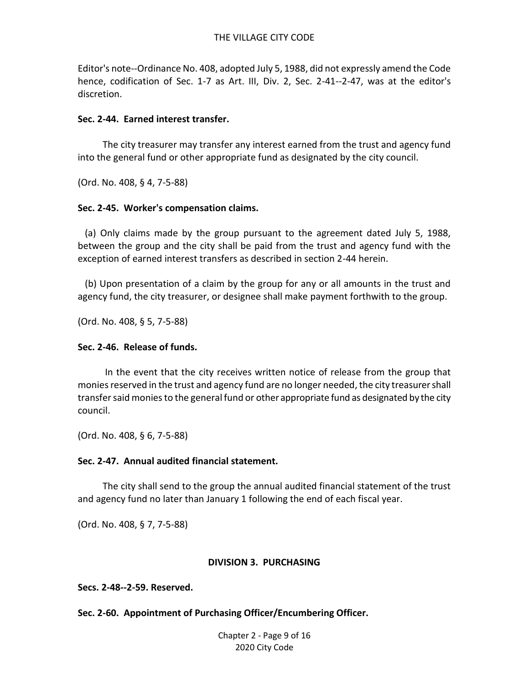Editor's note--Ordinance No. 408, adopted July 5, 1988, did not expressly amend the Code hence, codification of Sec. 1-7 as Art. III, Div. 2, Sec. 2-41--2-47, was at the editor's discretion.

#### **Sec. 2-44. Earned interest transfer.**

The city treasurer may transfer any interest earned from the trust and agency fund into the general fund or other appropriate fund as designated by the city council.

(Ord. No. 408, § 4, 7-5-88)

### **Sec. 2-45. Worker's compensation claims.**

 (a) Only claims made by the group pursuant to the agreement dated July 5, 1988, between the group and the city shall be paid from the trust and agency fund with the exception of earned interest transfers as described in section 2-44 herein.

 (b) Upon presentation of a claim by the group for any or all amounts in the trust and agency fund, the city treasurer, or designee shall make payment forthwith to the group.

(Ord. No. 408, § 5, 7-5-88)

## **Sec. 2-46. Release of funds.**

 In the event that the city receives written notice of release from the group that monies reserved in the trust and agency fund are no longer needed, the city treasurer shall transfer said monies to the general fund or other appropriate fund as designated by the city council.

(Ord. No. 408, § 6, 7-5-88)

# **Sec. 2-47. Annual audited financial statement.**

 The city shall send to the group the annual audited financial statement of the trust and agency fund no later than January 1 following the end of each fiscal year.

(Ord. No. 408, § 7, 7-5-88)

#### **DIVISION 3. PURCHASING**

**Secs. 2-48--2-59. Reserved.**

**Sec. 2-60. Appointment of Purchasing Officer/Encumbering Officer.**

Chapter 2 - Page 9 of 16 2020 City Code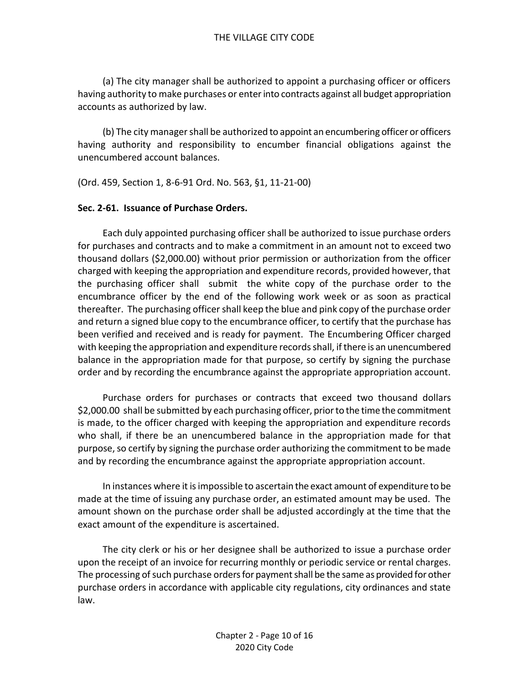(a) The city manager shall be authorized to appoint a purchasing officer or officers having authority to make purchases or enter into contracts against all budget appropriation accounts as authorized by law.

(b) The city manager shall be authorized to appoint an encumbering officer or officers having authority and responsibility to encumber financial obligations against the unencumbered account balances.

(Ord. 459, Section 1, 8-6-91 Ord. No. 563, §1, 11-21-00)

### **Sec. 2-61. Issuance of Purchase Orders.**

Each duly appointed purchasing officer shall be authorized to issue purchase orders for purchases and contracts and to make a commitment in an amount not to exceed two thousand dollars (\$2,000.00) without prior permission or authorization from the officer charged with keeping the appropriation and expenditure records, provided however, that the purchasing officer shall submit the white copy of the purchase order to the encumbrance officer by the end of the following work week or as soon as practical thereafter. The purchasing officer shall keep the blue and pink copy of the purchase order and return a signed blue copy to the encumbrance officer, to certify that the purchase has been verified and received and is ready for payment. The Encumbering Officer charged with keeping the appropriation and expenditure records shall, if there is an unencumbered balance in the appropriation made for that purpose, so certify by signing the purchase order and by recording the encumbrance against the appropriate appropriation account.

Purchase orders for purchases or contracts that exceed two thousand dollars \$2,000.00 shall be submitted by each purchasing officer, prior to the time the commitment is made, to the officer charged with keeping the appropriation and expenditure records who shall, if there be an unencumbered balance in the appropriation made for that purpose, so certify by signing the purchase order authorizing the commitment to be made and by recording the encumbrance against the appropriate appropriation account.

In instances where it is impossible to ascertain the exact amount of expenditure to be made at the time of issuing any purchase order, an estimated amount may be used. The amount shown on the purchase order shall be adjusted accordingly at the time that the exact amount of the expenditure is ascertained.

The city clerk or his or her designee shall be authorized to issue a purchase order upon the receipt of an invoice for recurring monthly or periodic service or rental charges. The processing of such purchase orders for payment shall be the same as provided for other purchase orders in accordance with applicable city regulations, city ordinances and state law.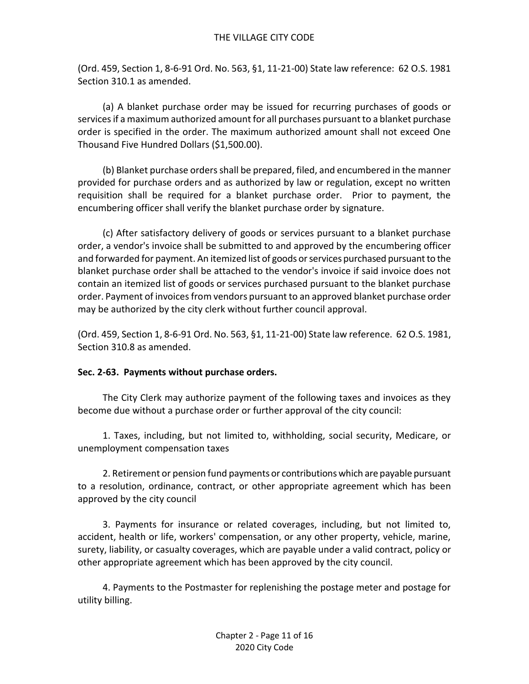(Ord. 459, Section 1, 8-6-91 Ord. No. 563, §1, 11-21-00) State law reference: 62 O.S. 1981 Section 310.1 as amended.

(a) A blanket purchase order may be issued for recurring purchases of goods or services if a maximum authorized amount for all purchases pursuant to a blanket purchase order is specified in the order. The maximum authorized amount shall not exceed One Thousand Five Hundred Dollars (\$1,500.00).

(b) Blanket purchase orders shall be prepared, filed, and encumbered in the manner provided for purchase orders and as authorized by law or regulation, except no written requisition shall be required for a blanket purchase order. Prior to payment, the encumbering officer shall verify the blanket purchase order by signature.

(c) After satisfactory delivery of goods or services pursuant to a blanket purchase order, a vendor's invoice shall be submitted to and approved by the encumbering officer and forwarded for payment. An itemized list of goods or services purchased pursuant to the blanket purchase order shall be attached to the vendor's invoice if said invoice does not contain an itemized list of goods or services purchased pursuant to the blanket purchase order. Payment of invoices from vendors pursuant to an approved blanket purchase order may be authorized by the city clerk without further council approval.

(Ord. 459, Section 1, 8-6-91 Ord. No. 563, §1, 11-21-00) State law reference. 62 O.S. 1981, Section 310.8 as amended.

# **Sec. 2-63. Payments without purchase orders.**

The City Clerk may authorize payment of the following taxes and invoices as they become due without a purchase order or further approval of the city council:

1. Taxes, including, but not limited to, withholding, social security, Medicare, or unemployment compensation taxes

2. Retirement or pension fund payments or contributions which are payable pursuant to a resolution, ordinance, contract, or other appropriate agreement which has been approved by the city council

3. Payments for insurance or related coverages, including, but not limited to, accident, health or life, workers' compensation, or any other property, vehicle, marine, surety, liability, or casualty coverages, which are payable under a valid contract, policy or other appropriate agreement which has been approved by the city council.

4. Payments to the Postmaster for replenishing the postage meter and postage for utility billing.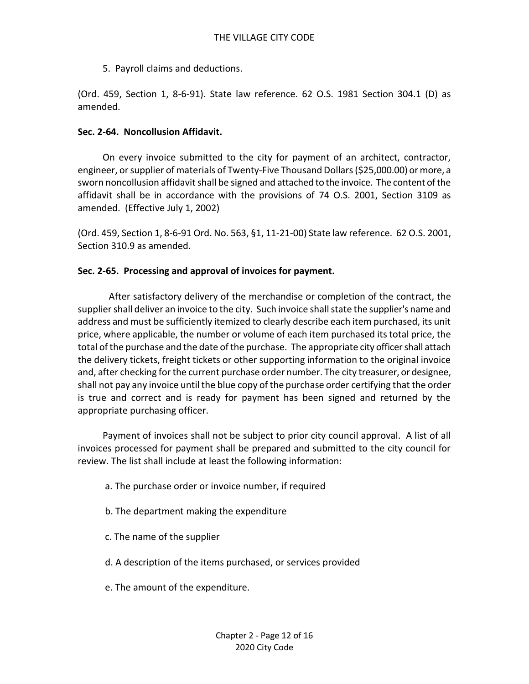5. Payroll claims and deductions.

(Ord. 459, Section 1, 8-6-91). State law reference. 62 O.S. 1981 Section 304.1 (D) as amended.

#### **Sec. 2-64. Noncollusion Affidavit.**

On every invoice submitted to the city for payment of an architect, contractor, engineer, or supplier of materials of Twenty-Five Thousand Dollars (\$25,000.00) ormore, a sworn noncollusion affidavit shall be signed and attached to the invoice. The content of the affidavit shall be in accordance with the provisions of 74 O.S. 2001, Section 3109 as amended. (Effective July 1, 2002)

(Ord. 459, Section 1, 8-6-91 Ord. No. 563, §1, 11-21-00) State law reference. 62 O.S. 2001, Section 310.9 as amended.

### **Sec. 2-65. Processing and approval of invoices for payment.**

After satisfactory delivery of the merchandise or completion of the contract, the supplier shall deliver an invoice to the city. Such invoice shall state the supplier's name and address and must be sufficiently itemized to clearly describe each item purchased, its unit price, where applicable, the number or volume of each item purchased its total price, the total of the purchase and the date of the purchase. The appropriate city officer shall attach the delivery tickets, freight tickets or other supporting information to the original invoice and, after checking for the current purchase order number. The city treasurer, or designee, shall not pay any invoice until the blue copy of the purchase order certifying that the order is true and correct and is ready for payment has been signed and returned by the appropriate purchasing officer.

Payment of invoices shall not be subject to prior city council approval. A list of all invoices processed for payment shall be prepared and submitted to the city council for review. The list shall include at least the following information:

- a. The purchase order or invoice number, if required
- b. The department making the expenditure
- c. The name of the supplier
- d. A description of the items purchased, or services provided
- e. The amount of the expenditure.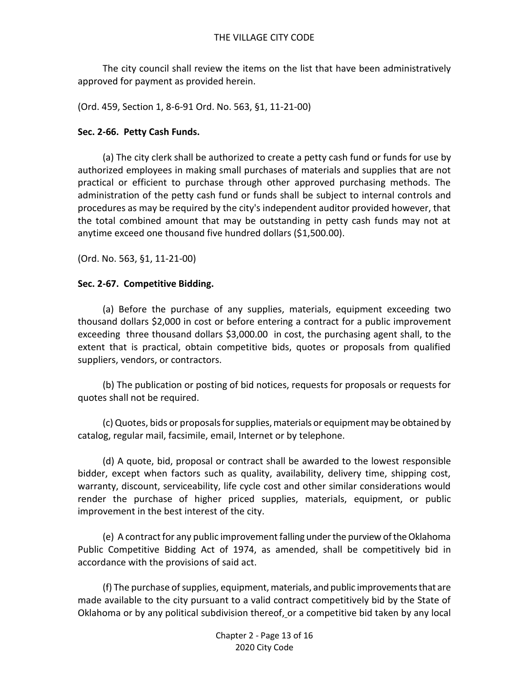The city council shall review the items on the list that have been administratively approved for payment as provided herein.

(Ord. 459, Section 1, 8-6-91 Ord. No. 563, §1, 11-21-00)

### **Sec. 2-66. Petty Cash Funds.**

(a) The city clerk shall be authorized to create a petty cash fund or funds for use by authorized employees in making small purchases of materials and supplies that are not practical or efficient to purchase through other approved purchasing methods. The administration of the petty cash fund or funds shall be subject to internal controls and procedures as may be required by the city's independent auditor provided however, that the total combined amount that may be outstanding in petty cash funds may not at anytime exceed one thousand five hundred dollars (\$1,500.00).

(Ord. No. 563, §1, 11-21-00)

### **Sec. 2-67. Competitive Bidding.**

(a) Before the purchase of any supplies, materials, equipment exceeding two thousand dollars \$2,000 in cost or before entering a contract for a public improvement exceeding three thousand dollars \$3,000.00 in cost, the purchasing agent shall, to the extent that is practical, obtain competitive bids, quotes or proposals from qualified suppliers, vendors, or contractors.

(b) The publication or posting of bid notices, requests for proposals or requests for quotes shall not be required.

(c) Quotes, bids or proposals for supplies, materials or equipment may be obtained by catalog, regular mail, facsimile, email, Internet or by telephone.

(d) A quote, bid, proposal or contract shall be awarded to the lowest responsible bidder, except when factors such as quality, availability, delivery time, shipping cost, warranty, discount, serviceability, life cycle cost and other similar considerations would render the purchase of higher priced supplies, materials, equipment, or public improvement in the best interest of the city.

(e) A contract for any public improvement falling under the purview of the Oklahoma Public Competitive Bidding Act of 1974, as amended, shall be competitively bid in accordance with the provisions of said act.

(f) The purchase of supplies, equipment, materials, and public improvements that are made available to the city pursuant to a valid contract competitively bid by the State of Oklahoma or by any political subdivision thereof, or a competitive bid taken by any local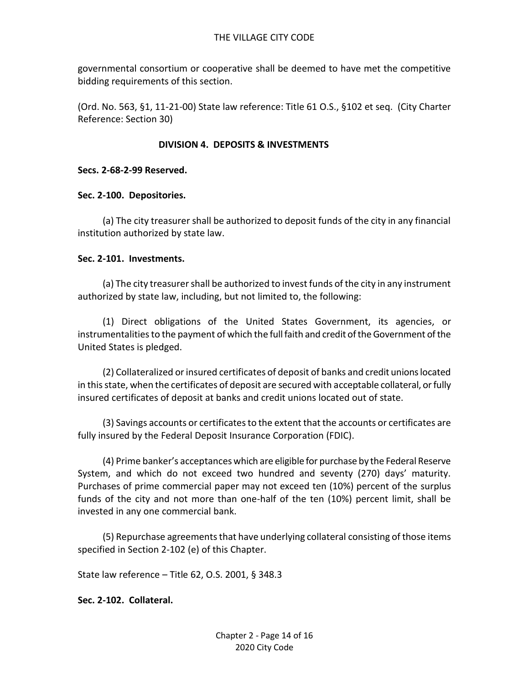governmental consortium or cooperative shall be deemed to have met the competitive bidding requirements of this section.

(Ord. No. 563, §1, 11-21-00) State law reference: Title 61 O.S., §102 et seq. (City Charter Reference: Section 30)

# **DIVISION 4. DEPOSITS & INVESTMENTS**

## **Secs. 2-68-2-99 Reserved.**

### **Sec. 2-100. Depositories.**

(a) The city treasurer shall be authorized to deposit funds of the city in any financial institution authorized by state law.

### **Sec. 2-101. Investments.**

(a) The city treasurer shall be authorized to invest funds of the city in any instrument authorized by state law, including, but not limited to, the following:

(1) Direct obligations of the United States Government, its agencies, or instrumentalities to the payment of which the full faith and credit of the Government of the United States is pledged.

(2) Collateralized or insured certificates of deposit of banks and credit unions located in this state, when the certificates of deposit are secured with acceptable collateral, or fully insured certificates of deposit at banks and credit unions located out of state.

(3) Savings accounts or certificates to the extent that the accounts or certificates are fully insured by the Federal Deposit Insurance Corporation (FDIC).

(4) Prime banker's acceptances which are eligible for purchase by the Federal Reserve System, and which do not exceed two hundred and seventy (270) days' maturity. Purchases of prime commercial paper may not exceed ten (10%) percent of the surplus funds of the city and not more than one-half of the ten (10%) percent limit, shall be invested in any one commercial bank.

(5) Repurchase agreements that have underlying collateral consisting of those items specified in Section 2-102 (e) of this Chapter.

State law reference – Title 62, O.S. 2001, § 348.3

# **Sec. 2-102. Collateral.**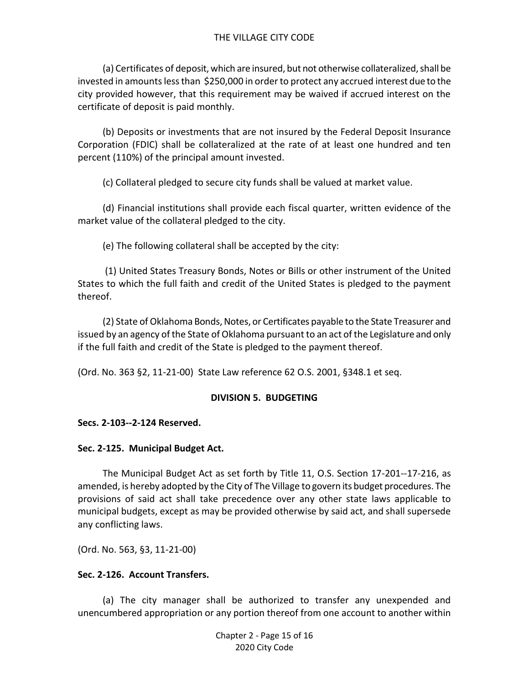(a) Certificates of deposit, which are insured, but not otherwise collateralized, shall be invested in amounts less than \$250,000 in order to protect any accrued interest due to the city provided however, that this requirement may be waived if accrued interest on the certificate of deposit is paid monthly.

(b) Deposits or investments that are not insured by the Federal Deposit Insurance Corporation (FDIC) shall be collateralized at the rate of at least one hundred and ten percent (110%) of the principal amount invested.

(c) Collateral pledged to secure city funds shall be valued at market value.

(d) Financial institutions shall provide each fiscal quarter, written evidence of the market value of the collateral pledged to the city.

(e) The following collateral shall be accepted by the city:

(1) United States Treasury Bonds, Notes or Bills or other instrument of the United States to which the full faith and credit of the United States is pledged to the payment thereof.

(2) State of Oklahoma Bonds, Notes, or Certificates payable to the State Treasurer and issued by an agency of the State of Oklahoma pursuant to an act of the Legislature and only if the full faith and credit of the State is pledged to the payment thereof.

(Ord. No. 363 §2, 11-21-00) State Law reference 62 O.S. 2001, §348.1 et seq.

# **DIVISION 5. BUDGETING**

# **Secs. 2-103--2-124 Reserved.**

# **Sec. 2-125. Municipal Budget Act.**

The Municipal Budget Act as set forth by Title 11, O.S. Section 17-201--17-216, as amended, is hereby adopted by the City of The Village to govern its budget procedures. The provisions of said act shall take precedence over any other state laws applicable to municipal budgets, except as may be provided otherwise by said act, and shall supersede any conflicting laws.

(Ord. No. 563, §3, 11-21-00)

# **Sec. 2-126. Account Transfers.**

(a) The city manager shall be authorized to transfer any unexpended and unencumbered appropriation or any portion thereof from one account to another within

> Chapter 2 - Page 15 of 16 2020 City Code